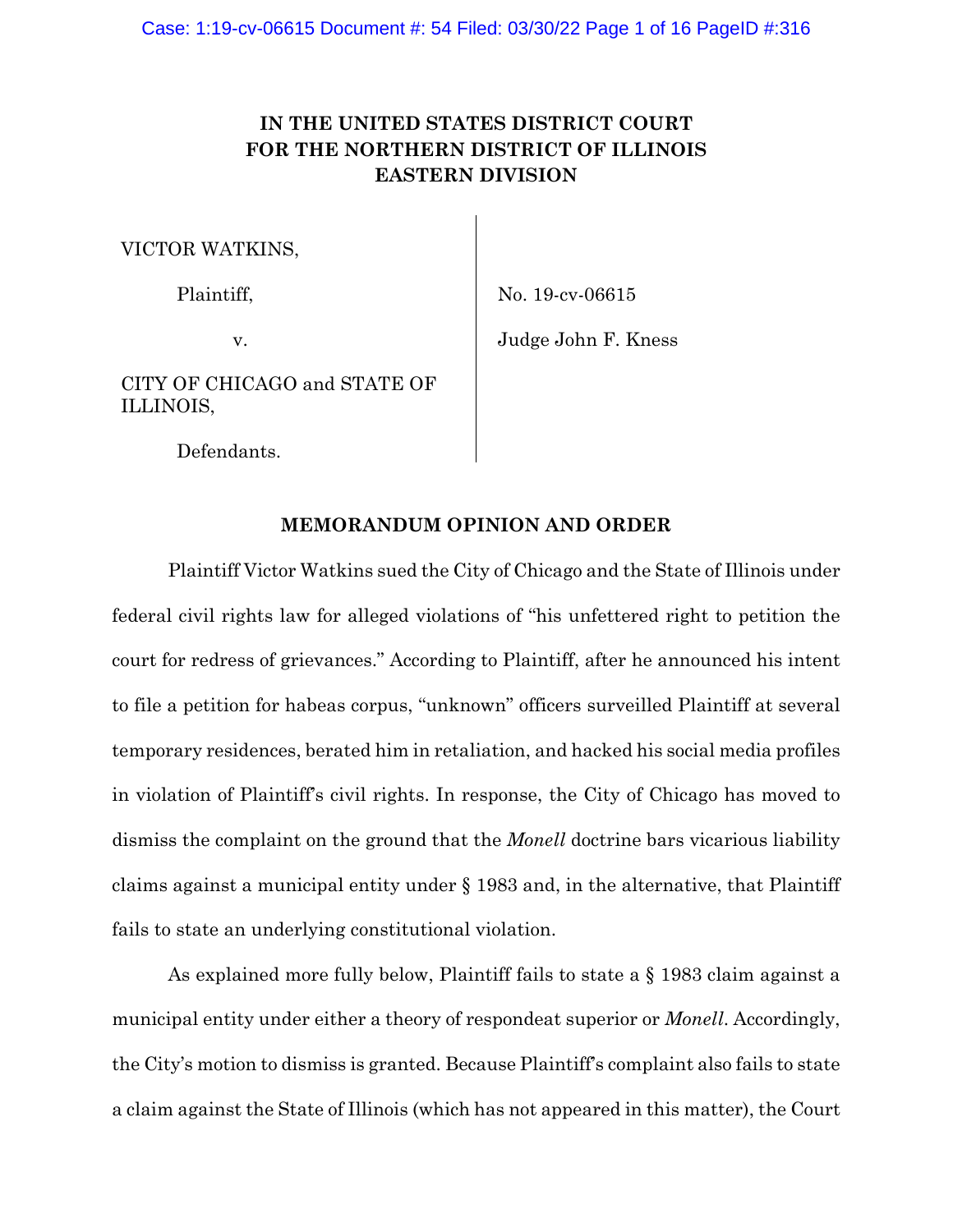# **IN THE UNITED STATES DISTRICT COURT FOR THE NORTHERN DISTRICT OF ILLINOIS EASTERN DIVISION**

VICTOR WATKINS,

Plaintiff,

v.

No. 19-cv-06615

Judge John F. Kness

CITY OF CHICAGO and STATE OF ILLINOIS,

Defendants.

## **MEMORANDUM OPINION AND ORDER**

Plaintiff Victor Watkins sued the City of Chicago and the State of Illinois under federal civil rights law for alleged violations of "his unfettered right to petition the court for redress of grievances." According to Plaintiff, after he announced his intent to file a petition for habeas corpus, "unknown" officers surveilled Plaintiff at several temporary residences, berated him in retaliation, and hacked his social media profiles in violation of Plaintiff's civil rights. In response, the City of Chicago has moved to dismiss the complaint on the ground that the *Monell* doctrine bars vicarious liability claims against a municipal entity under § 1983 and, in the alternative, that Plaintiff fails to state an underlying constitutional violation.

As explained more fully below, Plaintiff fails to state a § 1983 claim against a municipal entity under either a theory of respondeat superior or *Monell*. Accordingly, the City's motion to dismiss is granted. Because Plaintiff's complaint also fails to state a claim against the State of Illinois (which has not appeared in this matter), the Court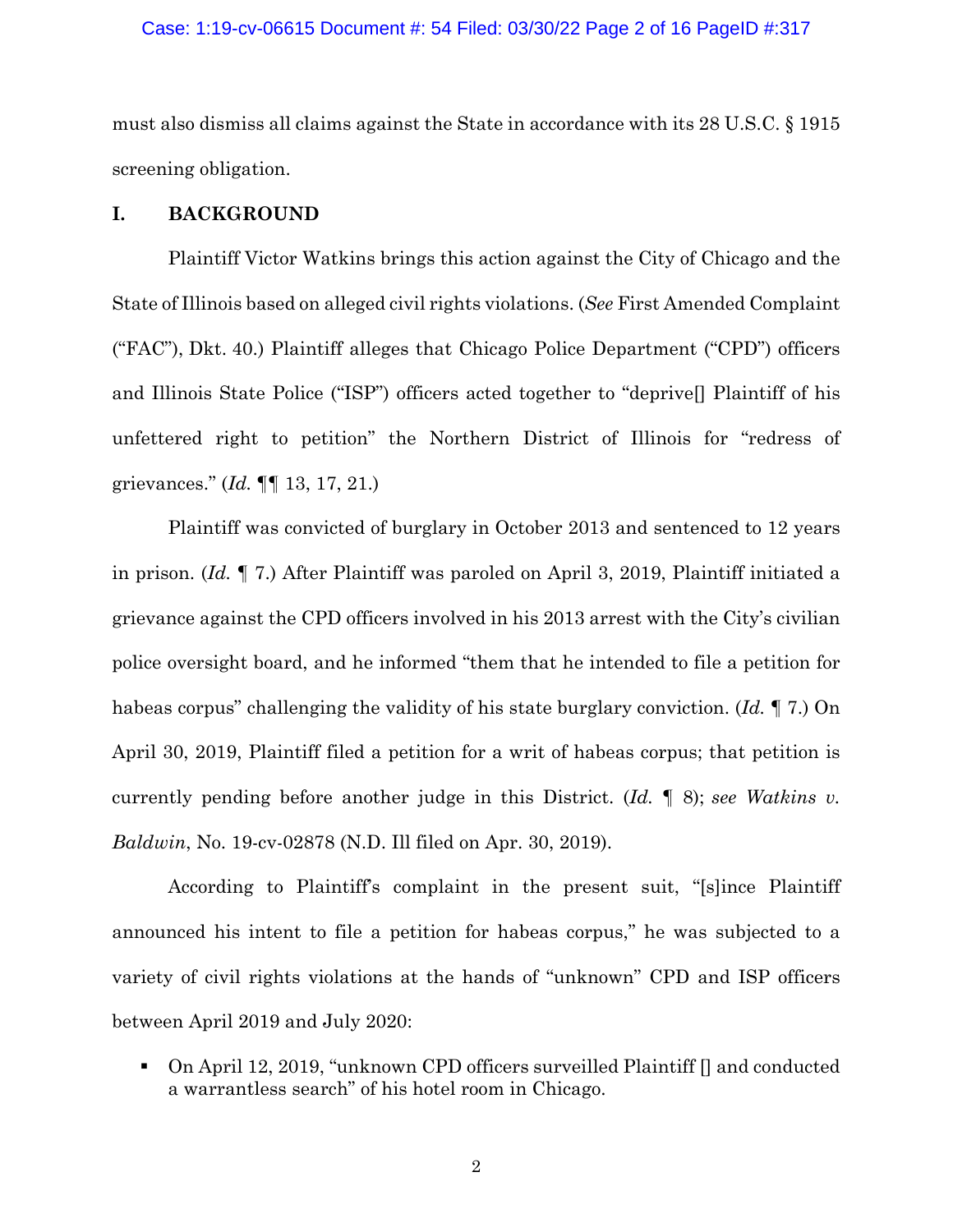## Case: 1:19-cv-06615 Document #: 54 Filed: 03/30/22 Page 2 of 16 PageID #:317

must also dismiss all claims against the State in accordance with its 28 U.S.C. § 1915 screening obligation.

## **I. BACKGROUND**

 Plaintiff Victor Watkins brings this action against the City of Chicago and the State of Illinois based on alleged civil rights violations. (*See* First Amended Complaint ("FAC"), Dkt. 40.) Plaintiff alleges that Chicago Police Department ("CPD") officers and Illinois State Police ("ISP") officers acted together to "deprive[] Plaintiff of his unfettered right to petition" the Northern District of Illinois for "redress of grievances." (*Id.* ¶¶ 13, 17, 21.)

 Plaintiff was convicted of burglary in October 2013 and sentenced to 12 years in prison. (*Id.* ¶ 7.) After Plaintiff was paroled on April 3, 2019, Plaintiff initiated a grievance against the CPD officers involved in his 2013 arrest with the City's civilian police oversight board, and he informed "them that he intended to file a petition for habeas corpus" challenging the validity of his state burglary conviction. (*Id.* ¶ 7.) On April 30, 2019, Plaintiff filed a petition for a writ of habeas corpus; that petition is currently pending before another judge in this District. (*Id.* ¶ 8); *see Watkins v. Baldwin*, No. 19-cv-02878 (N.D. Ill filed on Apr. 30, 2019).

 According to Plaintiff's complaint in the present suit, "[s]ince Plaintiff announced his intent to file a petition for habeas corpus," he was subjected to a variety of civil rights violations at the hands of "unknown" CPD and ISP officers between April 2019 and July 2020:

 On April 12, 2019, "unknown CPD officers surveilled Plaintiff [] and conducted a warrantless search" of his hotel room in Chicago.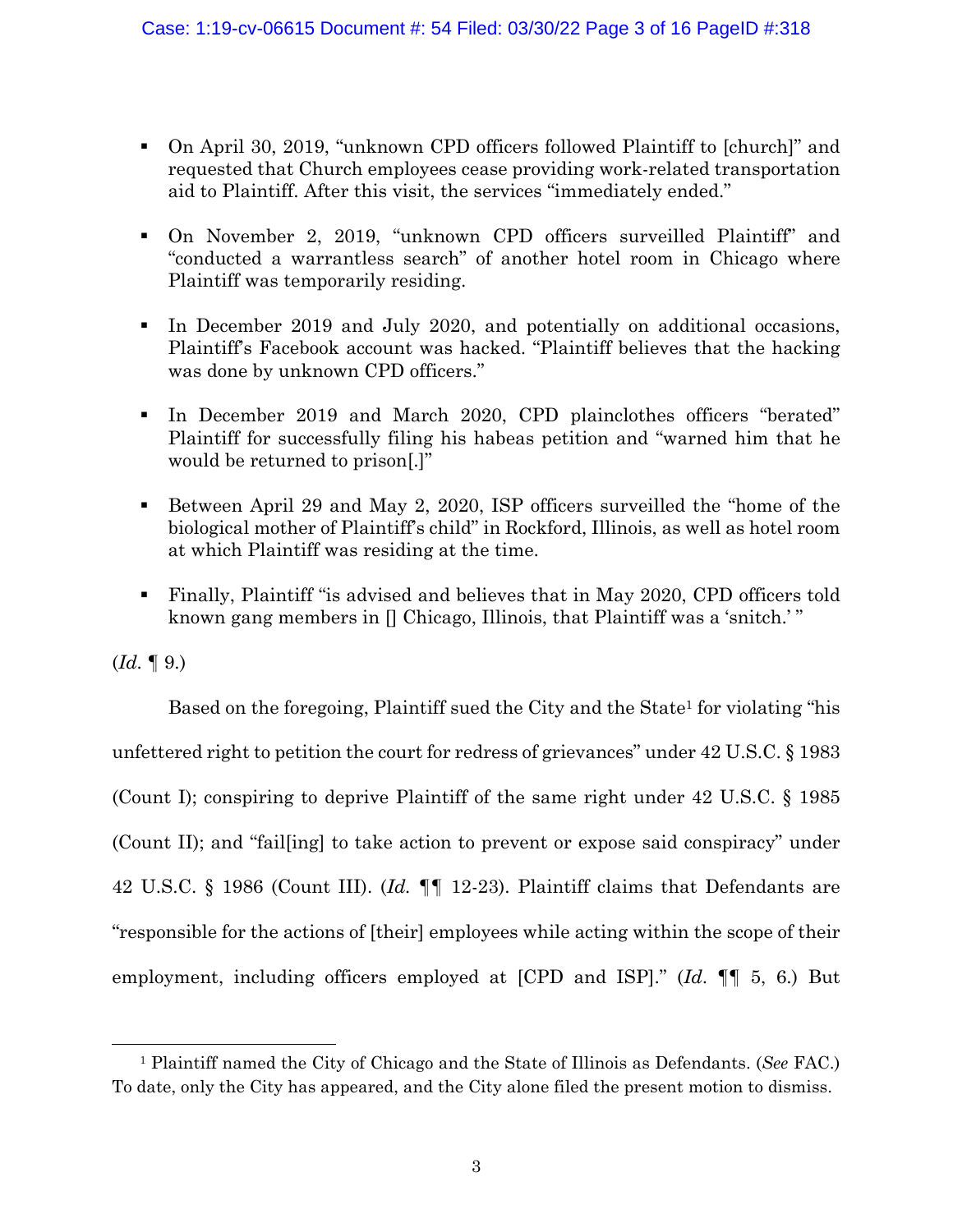- On April 30, 2019, "unknown CPD officers followed Plaintiff to [church]" and requested that Church employees cease providing work-related transportation aid to Plaintiff. After this visit, the services "immediately ended."
- On November 2, 2019, "unknown CPD officers surveilled Plaintiff" and "conducted a warrantless search" of another hotel room in Chicago where Plaintiff was temporarily residing.
- In December 2019 and July 2020, and potentially on additional occasions, Plaintiff's Facebook account was hacked. "Plaintiff believes that the hacking was done by unknown CPD officers."
- In December 2019 and March 2020, CPD plainclothes officers "berated" Plaintiff for successfully filing his habeas petition and "warned him that he would be returned to prison[.]"
- Between April 29 and May 2, 2020, ISP officers surveilled the "home of the biological mother of Plaintiff's child" in Rockford, Illinois, as well as hotel room at which Plaintiff was residing at the time.
- Finally, Plaintiff "is advised and believes that in May 2020, CPD officers told known gang members in  $\Box$  Chicago, Illinois, that Plaintiff was a 'snitch.' "

 $(Id. \P 9.)$ 

Based on the foregoing, Plaintiff sued the City and the State<sup>1</sup> for violating "his unfettered right to petition the court for redress of grievances" under 42 U.S.C. § 1983 (Count I); conspiring to deprive Plaintiff of the same right under 42 U.S.C. § 1985 (Count II); and "fail[ing] to take action to prevent or expose said conspiracy" under 42 U.S.C. § 1986 (Count III). (*Id. ¶¶* 12-23). Plaintiff claims that Defendants are "responsible for the actions of [their] employees while acting within the scope of their employment, including officers employed at [CPD and ISP]." (*Id*. ¶¶ 5, 6.) But

<sup>1</sup> Plaintiff named the City of Chicago and the State of Illinois as Defendants. (*See* FAC.) To date, only the City has appeared, and the City alone filed the present motion to dismiss.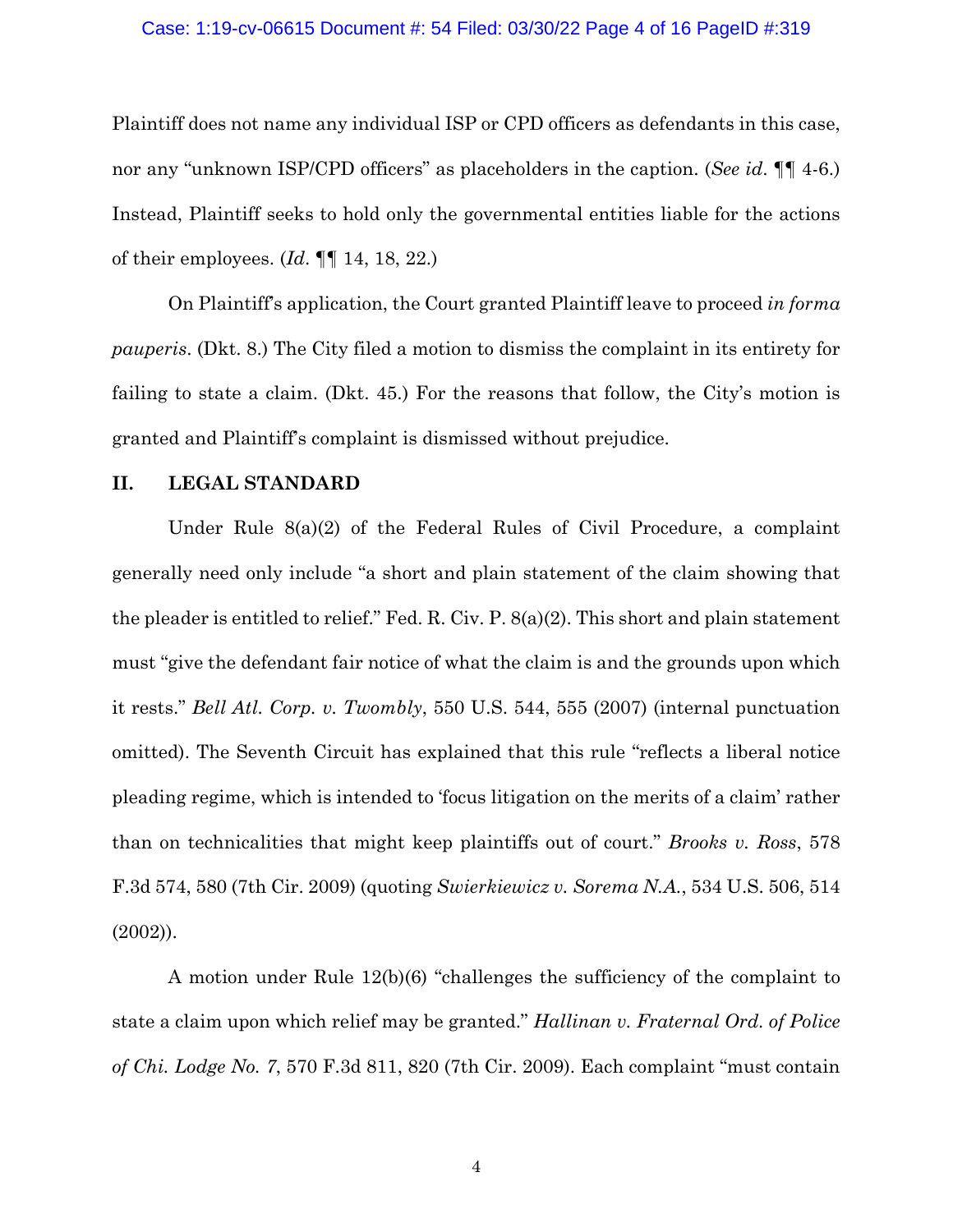### Case: 1:19-cv-06615 Document #: 54 Filed: 03/30/22 Page 4 of 16 PageID #:319

Plaintiff does not name any individual ISP or CPD officers as defendants in this case, nor any "unknown ISP/CPD officers" as placeholders in the caption. (*See id*. ¶¶ 4-6.) Instead, Plaintiff seeks to hold only the governmental entities liable for the actions of their employees. (*Id*. ¶¶ 14, 18, 22.)

On Plaintiff's application, the Court granted Plaintiff leave to proceed *in forma pauperis*. (Dkt. 8.) The City filed a motion to dismiss the complaint in its entirety for failing to state a claim. (Dkt. 45.) For the reasons that follow, the City's motion is granted and Plaintiff's complaint is dismissed without prejudice.

## **II. LEGAL STANDARD**

Under Rule 8(a)(2) of the Federal Rules of Civil Procedure, a complaint generally need only include "a short and plain statement of the claim showing that the pleader is entitled to relief." Fed. R. Civ. P. 8(a)(2). This short and plain statement must "give the defendant fair notice of what the claim is and the grounds upon which it rests." *Bell Atl. Corp. v. Twombly*, 550 U.S. 544, 555 (2007) (internal punctuation omitted). The Seventh Circuit has explained that this rule "reflects a liberal notice pleading regime, which is intended to 'focus litigation on the merits of a claim' rather than on technicalities that might keep plaintiffs out of court." *Brooks v. Ross*, 578 F.3d 574, 580 (7th Cir. 2009) (quoting *Swierkiewicz v. Sorema N.A.*, 534 U.S. 506, 514 (2002)).

A motion under Rule 12(b)(6) "challenges the sufficiency of the complaint to state a claim upon which relief may be granted." *Hallinan v. Fraternal Ord. of Police of Chi. Lodge No. 7*, 570 F.3d 811, 820 (7th Cir. 2009). Each complaint "must contain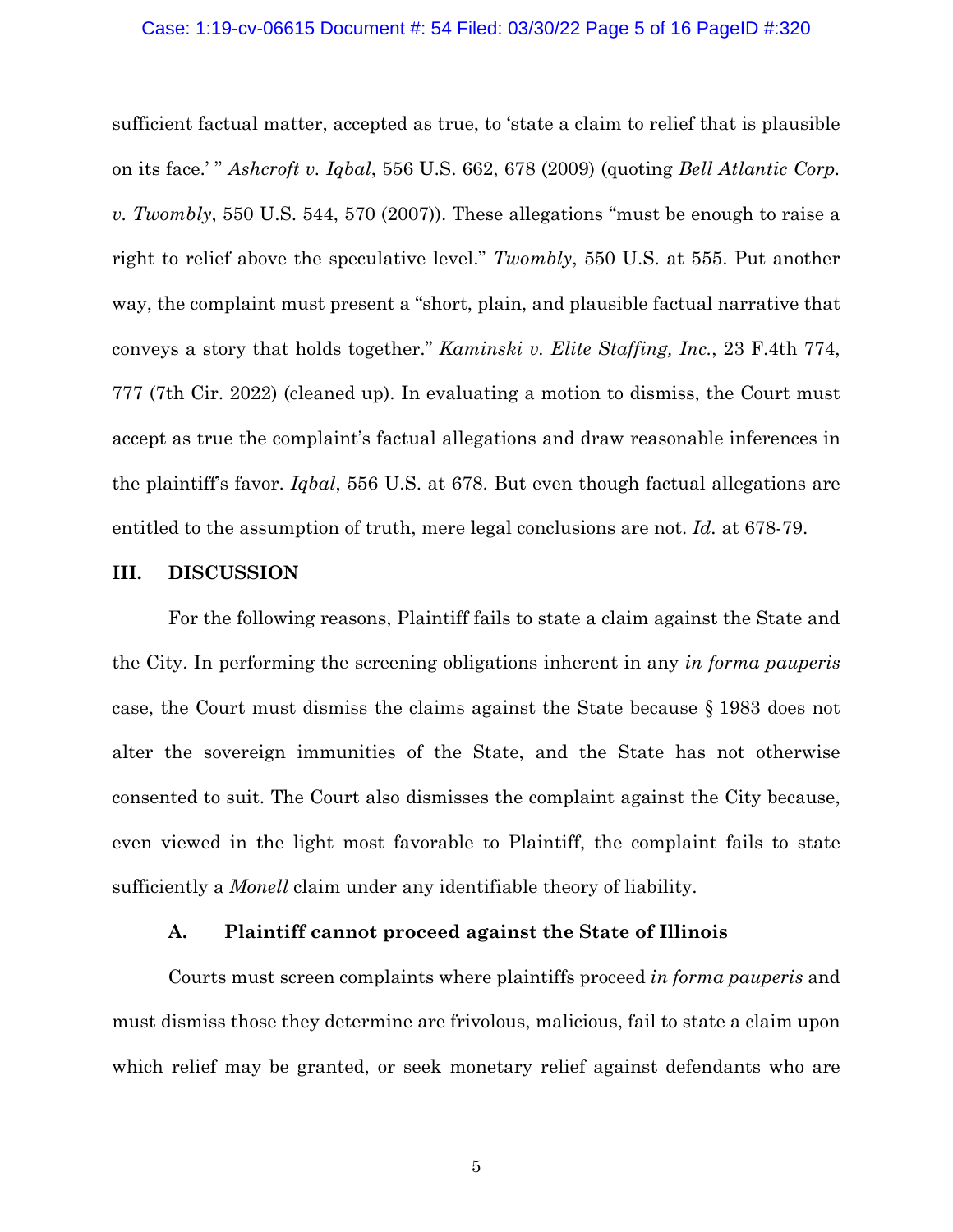### Case: 1:19-cv-06615 Document #: 54 Filed: 03/30/22 Page 5 of 16 PageID #:320

sufficient factual matter, accepted as true, to 'state a claim to relief that is plausible on its face.' " *Ashcroft v. Iqbal*, 556 U.S. 662, 678 (2009) (quoting *Bell Atlantic Corp. v. Twombly*, 550 U.S. 544, 570 (2007)). These allegations "must be enough to raise a right to relief above the speculative level." *Twombly*, 550 U.S. at 555. Put another way, the complaint must present a "short, plain, and plausible factual narrative that conveys a story that holds together." *Kaminski v. Elite Staffing, Inc.*, 23 F.4th 774, 777 (7th Cir. 2022) (cleaned up). In evaluating a motion to dismiss, the Court must accept as true the complaint's factual allegations and draw reasonable inferences in the plaintiff's favor. *Iqbal*, 556 U.S. at 678. But even though factual allegations are entitled to the assumption of truth, mere legal conclusions are not. *Id.* at 678-79.

## **III. DISCUSSION**

For the following reasons, Plaintiff fails to state a claim against the State and the City. In performing the screening obligations inherent in any *in forma pauperis* case, the Court must dismiss the claims against the State because § 1983 does not alter the sovereign immunities of the State, and the State has not otherwise consented to suit. The Court also dismisses the complaint against the City because, even viewed in the light most favorable to Plaintiff, the complaint fails to state sufficiently a *Monell* claim under any identifiable theory of liability.

## **A. Plaintiff cannot proceed against the State of Illinois**

Courts must screen complaints where plaintiffs proceed *in forma pauperis* and must dismiss those they determine are frivolous, malicious, fail to state a claim upon which relief may be granted, or seek monetary relief against defendants who are

5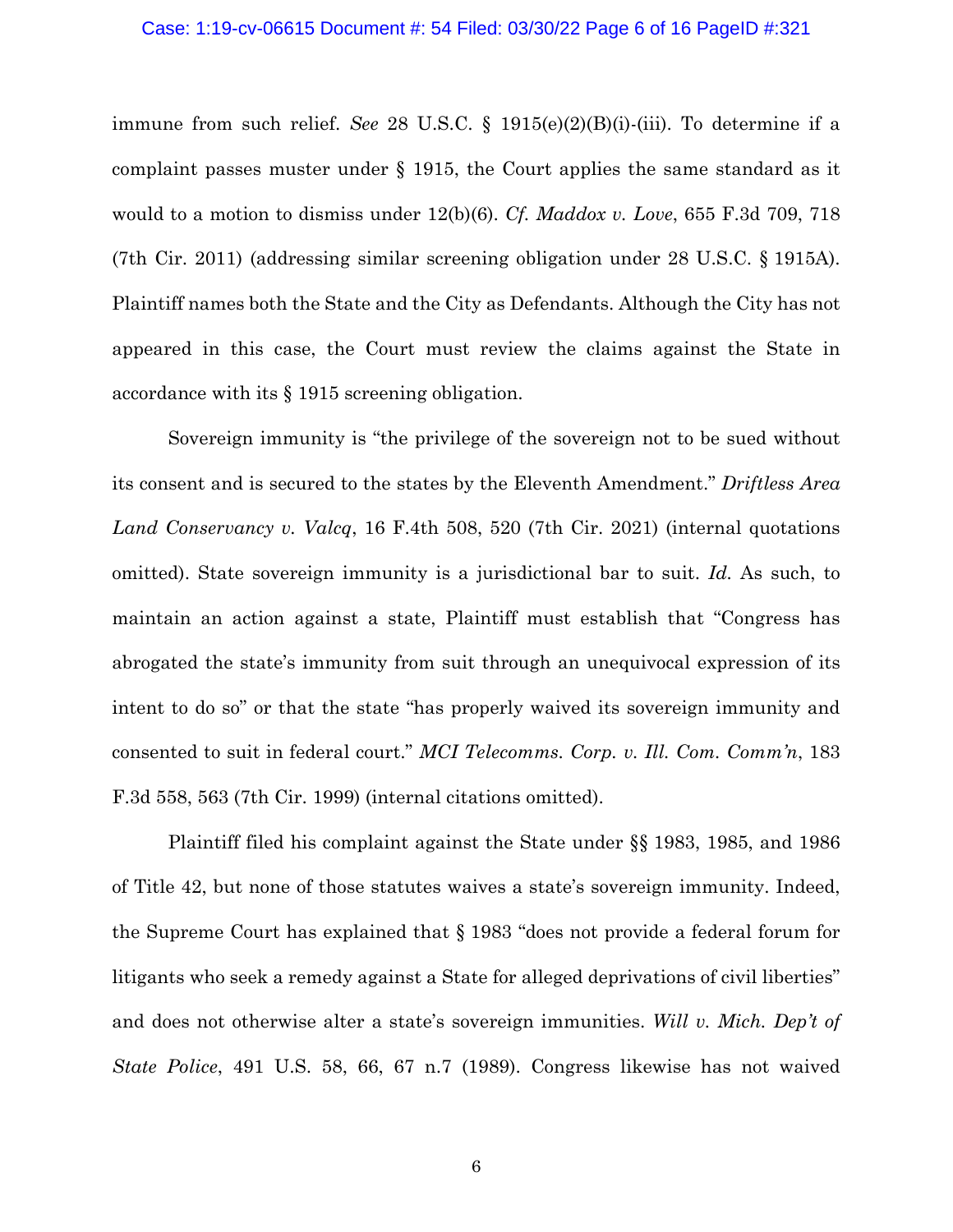## Case: 1:19-cv-06615 Document #: 54 Filed: 03/30/22 Page 6 of 16 PageID #:321

immune from such relief. *See* 28 U.S.C. § 1915(e)(2)(B)(i)-(iii). To determine if a complaint passes muster under § 1915, the Court applies the same standard as it would to a motion to dismiss under 12(b)(6). *Cf. Maddox v. Love*, 655 F.3d 709, 718 (7th Cir. 2011) (addressing similar screening obligation under 28 U.S.C. § 1915A). Plaintiff names both the State and the City as Defendants. Although the City has not appeared in this case, the Court must review the claims against the State in accordance with its § 1915 screening obligation.

Sovereign immunity is "the privilege of the sovereign not to be sued without its consent and is secured to the states by the Eleventh Amendment." *Driftless Area Land Conservancy v. Valcq*, 16 F.4th 508, 520 (7th Cir. 2021) (internal quotations omitted). State sovereign immunity is a jurisdictional bar to suit. *Id.* As such, to maintain an action against a state, Plaintiff must establish that "Congress has abrogated the state's immunity from suit through an unequivocal expression of its intent to do so" or that the state "has properly waived its sovereign immunity and consented to suit in federal court." *MCI Telecomms. Corp. v. Ill. Com. Comm'n*, 183 F.3d 558, 563 (7th Cir. 1999) (internal citations omitted).

Plaintiff filed his complaint against the State under §§ 1983, 1985, and 1986 of Title 42, but none of those statutes waives a state's sovereign immunity. Indeed, the Supreme Court has explained that § 1983 "does not provide a federal forum for litigants who seek a remedy against a State for alleged deprivations of civil liberties" and does not otherwise alter a state's sovereign immunities. *Will v. Mich. Dep't of State Police*, 491 U.S. 58, 66, 67 n.7 (1989). Congress likewise has not waived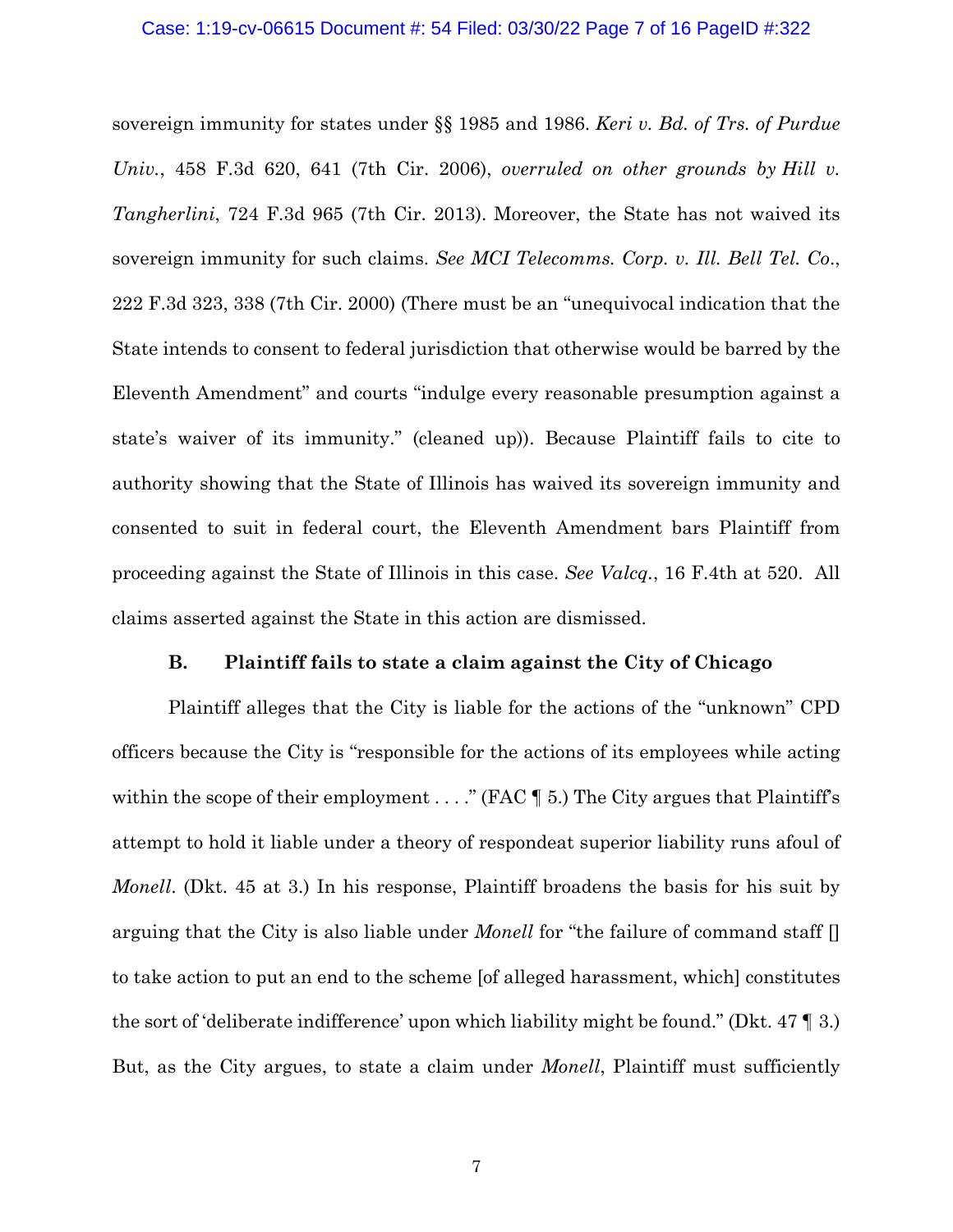### Case: 1:19-cv-06615 Document #: 54 Filed: 03/30/22 Page 7 of 16 PageID #:322

sovereign immunity for states under §§ 1985 and 1986. *Keri v. Bd. of Trs. of Purdue Univ.*, 458 F.3d 620, 641 (7th Cir. 2006), *overruled on other grounds by Hill v. Tangherlini*, 724 F.3d 965 (7th Cir. 2013). Moreover, the State has not waived its sovereign immunity for such claims. *See MCI Telecomms. Corp. v. Ill. Bell Tel. Co*., 222 F.3d 323, 338 (7th Cir. 2000) (There must be an "unequivocal indication that the State intends to consent to federal jurisdiction that otherwise would be barred by the Eleventh Amendment" and courts "indulge every reasonable presumption against a state's waiver of its immunity." (cleaned up)). Because Plaintiff fails to cite to authority showing that the State of Illinois has waived its sovereign immunity and consented to suit in federal court, the Eleventh Amendment bars Plaintiff from proceeding against the State of Illinois in this case. *See Valcq.*, 16 F.4th at 520. All claims asserted against the State in this action are dismissed.

## **B. Plaintiff fails to state a claim against the City of Chicago**

Plaintiff alleges that the City is liable for the actions of the "unknown" CPD officers because the City is "responsible for the actions of its employees while acting within the scope of their employment  $\dots$ ." (FAC  $\P$  5.) The City argues that Plaintiff's attempt to hold it liable under a theory of respondeat superior liability runs afoul of *Monell.* (Dkt. 45 at 3.) In his response, Plaintiff broadens the basis for his suit by arguing that the City is also liable under *Monell* for "the failure of command staff [] to take action to put an end to the scheme [of alleged harassment, which] constitutes the sort of 'deliberate indifference' upon which liability might be found." (Dkt. 47 ¶ 3.) But, as the City argues, to state a claim under *Monell*, Plaintiff must sufficiently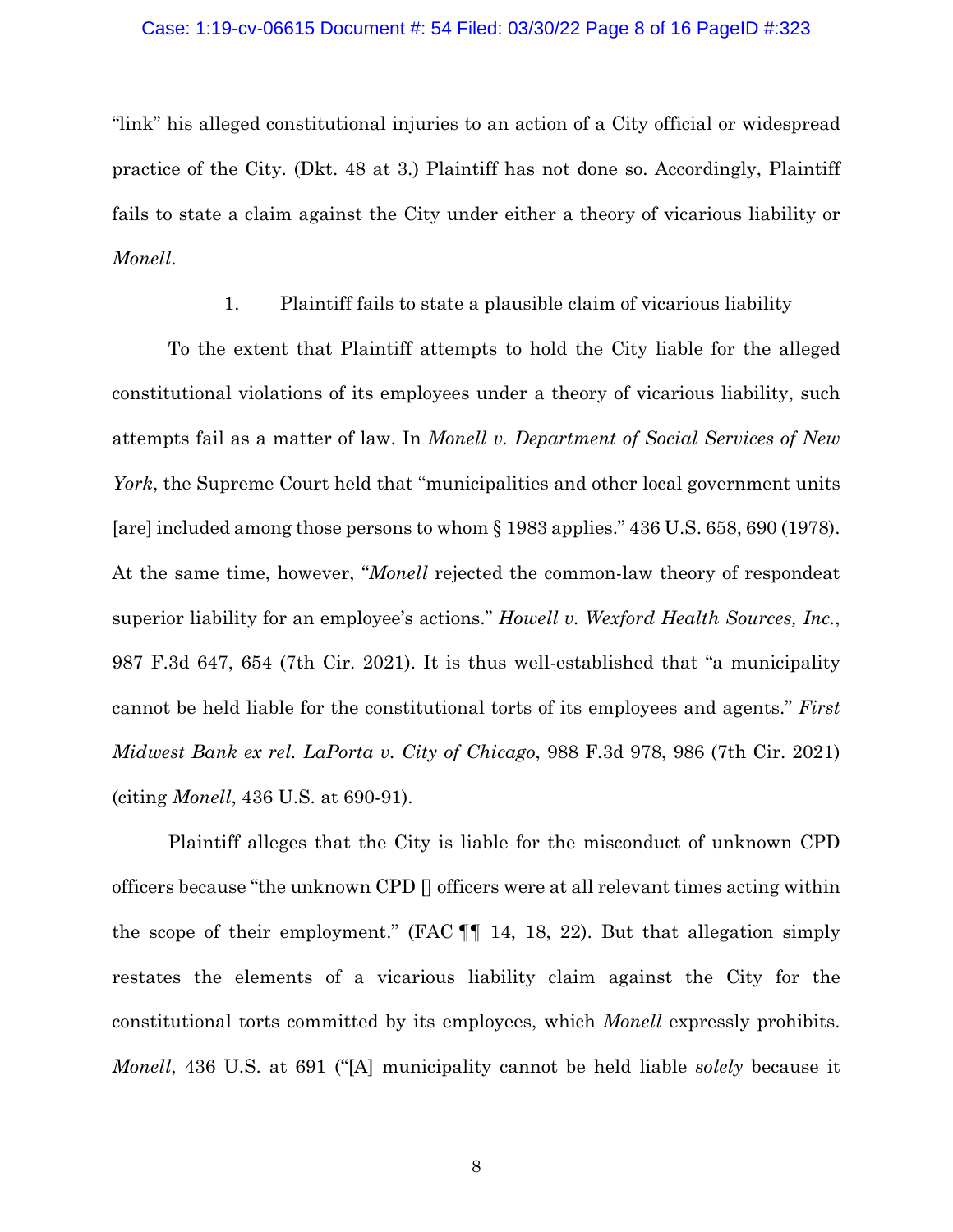### Case: 1:19-cv-06615 Document #: 54 Filed: 03/30/22 Page 8 of 16 PageID #:323

"link" his alleged constitutional injuries to an action of a City official or widespread practice of the City. (Dkt. 48 at 3.) Plaintiff has not done so. Accordingly, Plaintiff fails to state a claim against the City under either a theory of vicarious liability or *Monell*.

1. Plaintiff fails to state a plausible claim of vicarious liability

To the extent that Plaintiff attempts to hold the City liable for the alleged constitutional violations of its employees under a theory of vicarious liability, such attempts fail as a matter of law. In *Monell v. Department of Social Services of New York*, the Supreme Court held that "municipalities and other local government units [are] included among those persons to whom § 1983 applies." 436 U.S. 658, 690 (1978). At the same time, however, "*Monell* rejected the common-law theory of respondeat superior liability for an employee's actions." *Howell v. Wexford Health Sources, Inc.*, 987 F.3d 647, 654 (7th Cir. 2021). It is thus well-established that "a municipality cannot be held liable for the constitutional torts of its employees and agents." *First Midwest Bank ex rel. LaPorta v. City of Chicago*, 988 F.3d 978, 986 (7th Cir. 2021) (citing *Monell*, 436 U.S. at 690-91).

Plaintiff alleges that the City is liable for the misconduct of unknown CPD officers because "the unknown CPD [] officers were at all relevant times acting within the scope of their employment." (FAC ¶¶ 14, 18, 22). But that allegation simply restates the elements of a vicarious liability claim against the City for the constitutional torts committed by its employees, which *Monell* expressly prohibits. *Monell*, 436 U.S. at 691 ("[A] municipality cannot be held liable *solely* because it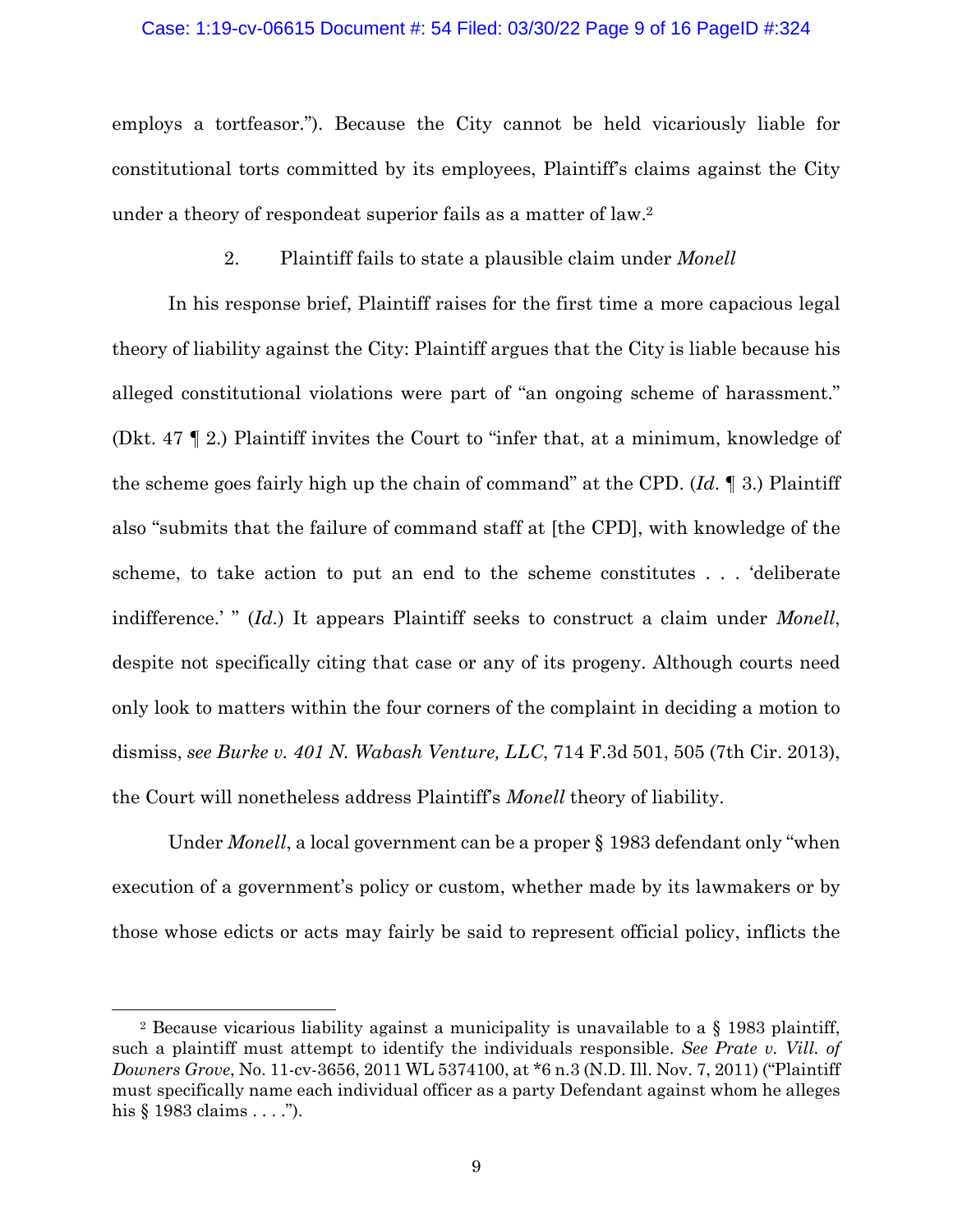## Case: 1:19-cv-06615 Document #: 54 Filed: 03/30/22 Page 9 of 16 PageID #:324

employs a tortfeasor."). Because the City cannot be held vicariously liable for constitutional torts committed by its employees, Plaintiff's claims against the City under a theory of respondeat superior fails as a matter of law.2

2. Plaintiff fails to state a plausible claim under *Monell*

In his response brief, Plaintiff raises for the first time a more capacious legal theory of liability against the City: Plaintiff argues that the City is liable because his alleged constitutional violations were part of "an ongoing scheme of harassment." (Dkt. 47 ¶ 2.) Plaintiff invites the Court to "infer that, at a minimum, knowledge of the scheme goes fairly high up the chain of command" at the CPD. (*Id*. ¶ 3.) Plaintiff also "submits that the failure of command staff at [the CPD], with knowledge of the scheme, to take action to put an end to the scheme constitutes . . . 'deliberate indifference.' " (*Id.*) It appears Plaintiff seeks to construct a claim under *Monell*, despite not specifically citing that case or any of its progeny. Although courts need only look to matters within the four corners of the complaint in deciding a motion to dismiss, *see Burke v. 401 N. Wabash Venture, LLC*, 714 F.3d 501, 505 (7th Cir. 2013), the Court will nonetheless address Plaintiff's *Monell* theory of liability.

Under *Monell*, a local government can be a proper § 1983 defendant only "when execution of a government's policy or custom, whether made by its lawmakers or by those whose edicts or acts may fairly be said to represent official policy, inflicts the

<sup>&</sup>lt;sup>2</sup> Because vicarious liability against a municipality is unavailable to a  $\S$  1983 plaintiff, such a plaintiff must attempt to identify the individuals responsible. *See Prate v. Vill. of Downers Grove*, No. 11-cv-3656, 2011 WL 5374100, at \*6 n.3 (N.D. Ill. Nov. 7, 2011) ("Plaintiff must specifically name each individual officer as a party Defendant against whom he alleges his § 1983 claims . . . .").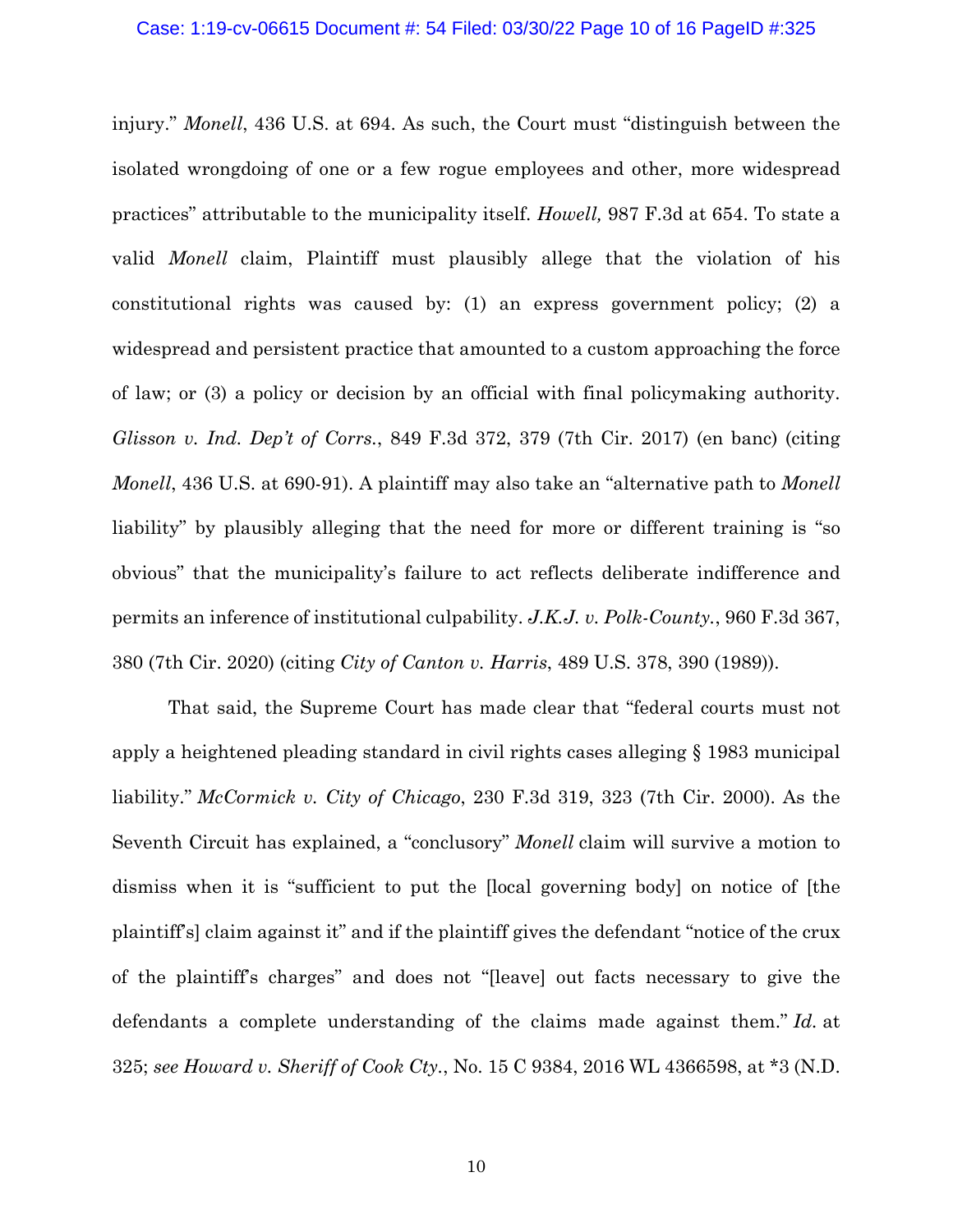injury." *Monell*, 436 U.S. at 694. As such, the Court must "distinguish between the isolated wrongdoing of one or a few rogue employees and other, more widespread practices" attributable to the municipality itself. *Howell,* 987 F.3d at 654. To state a valid *Monell* claim, Plaintiff must plausibly allege that the violation of his constitutional rights was caused by: (1) an express government policy; (2) a widespread and persistent practice that amounted to a custom approaching the force of law; or (3) a policy or decision by an official with final policymaking authority. *Glisson v. Ind. Dep't of Corrs.*, 849 F.3d 372, 379 (7th Cir. 2017) (en banc) (citing *Monell*, 436 U.S. at 690-91). A plaintiff may also take an "alternative path to *Monell* liability" by plausibly alleging that the need for more or different training is "so obvious" that the municipality's failure to act reflects deliberate indifference and permits an inference of institutional culpability. *J.K.J. v. Polk-County.*, 960 F.3d 367, 380 (7th Cir. 2020) (citing *City of Canton v. Harris*, 489 U.S. 378, 390 (1989)).

That said, the Supreme Court has made clear that "federal courts must not apply a heightened pleading standard in civil rights cases alleging § 1983 municipal liability." *McCormick v. City of Chicago*, 230 F.3d 319, 323 (7th Cir. 2000). As the Seventh Circuit has explained, a "conclusory" *Monell* claim will survive a motion to dismiss when it is "sufficient to put the [local governing body] on notice of [the plaintiff's] claim against it" and if the plaintiff gives the defendant "notice of the crux of the plaintiff's charges" and does not "[leave] out facts necessary to give the defendants a complete understanding of the claims made against them." *Id.* at 325; *see Howard v. Sheriff of Cook Cty.*, No. 15 C 9384, 2016 WL 4366598, at \*3 (N.D.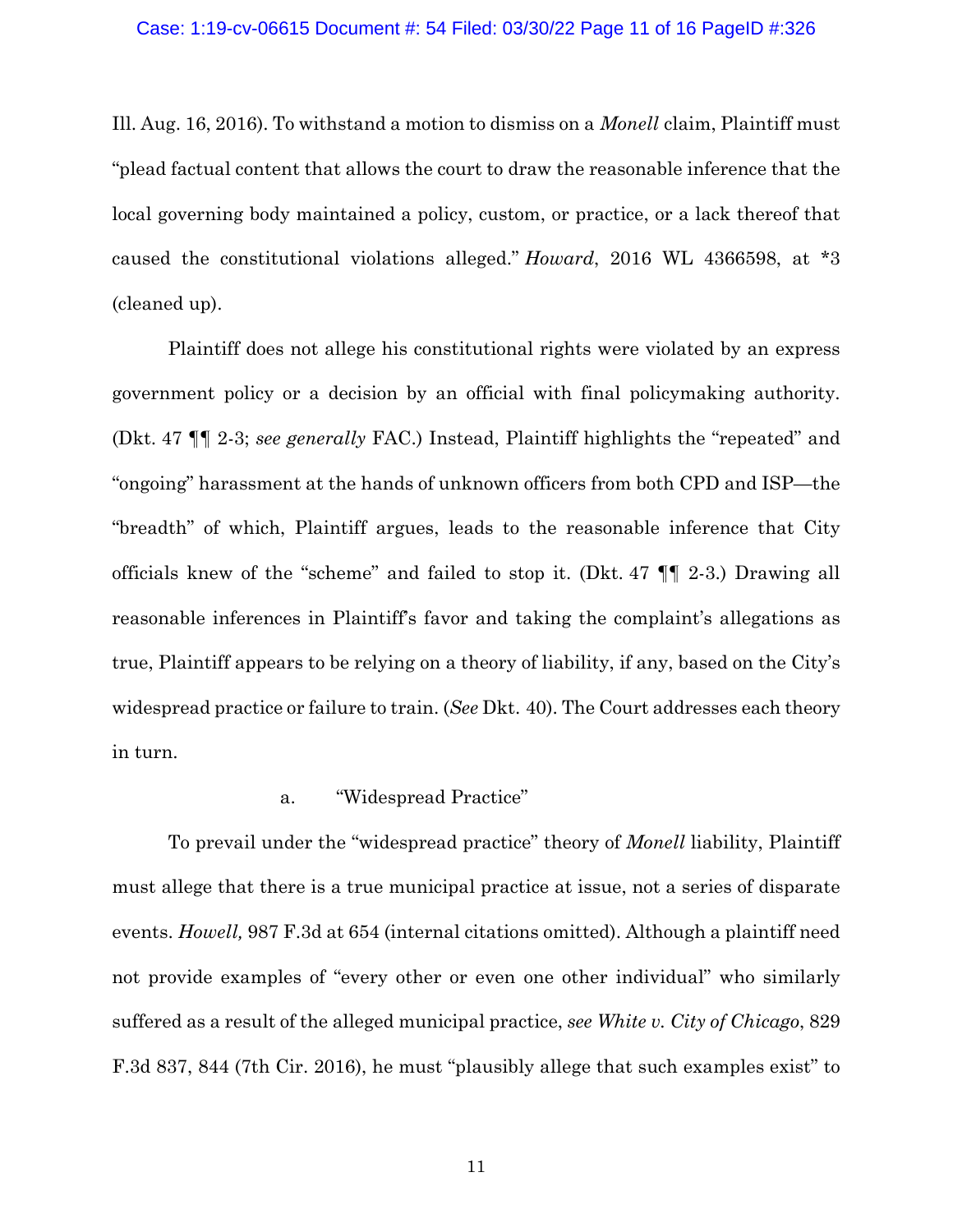## Case: 1:19-cv-06615 Document #: 54 Filed: 03/30/22 Page 11 of 16 PageID #:326

Ill. Aug. 16, 2016). To withstand a motion to dismiss on a *Monell* claim, Plaintiff must "plead factual content that allows the court to draw the reasonable inference that the local governing body maintained a policy, custom, or practice, or a lack thereof that caused the constitutional violations alleged." *Howard*, 2016 WL 4366598, at \*3 (cleaned up).

Plaintiff does not allege his constitutional rights were violated by an express government policy or a decision by an official with final policymaking authority. (Dkt. 47 ¶¶ 2-3; *see generally* FAC.) Instead, Plaintiff highlights the "repeated" and "ongoing" harassment at the hands of unknown officers from both CPD and ISP—the "breadth" of which, Plaintiff argues, leads to the reasonable inference that City officials knew of the "scheme" and failed to stop it. (Dkt. 47 ¶¶ 2-3.) Drawing all reasonable inferences in Plaintiff's favor and taking the complaint's allegations as true, Plaintiff appears to be relying on a theory of liability, if any, based on the City's widespread practice or failure to train. (*See* Dkt. 40). The Court addresses each theory in turn.

## a. "Widespread Practice"

To prevail under the "widespread practice" theory of *Monell* liability, Plaintiff must allege that there is a true municipal practice at issue, not a series of disparate events. *Howell,* 987 F.3d at 654 (internal citations omitted). Although a plaintiff need not provide examples of "every other or even one other individual" who similarly suffered as a result of the alleged municipal practice, *see White v. City of Chicago*, 829 F.3d 837, 844 (7th Cir. 2016), he must "plausibly allege that such examples exist" to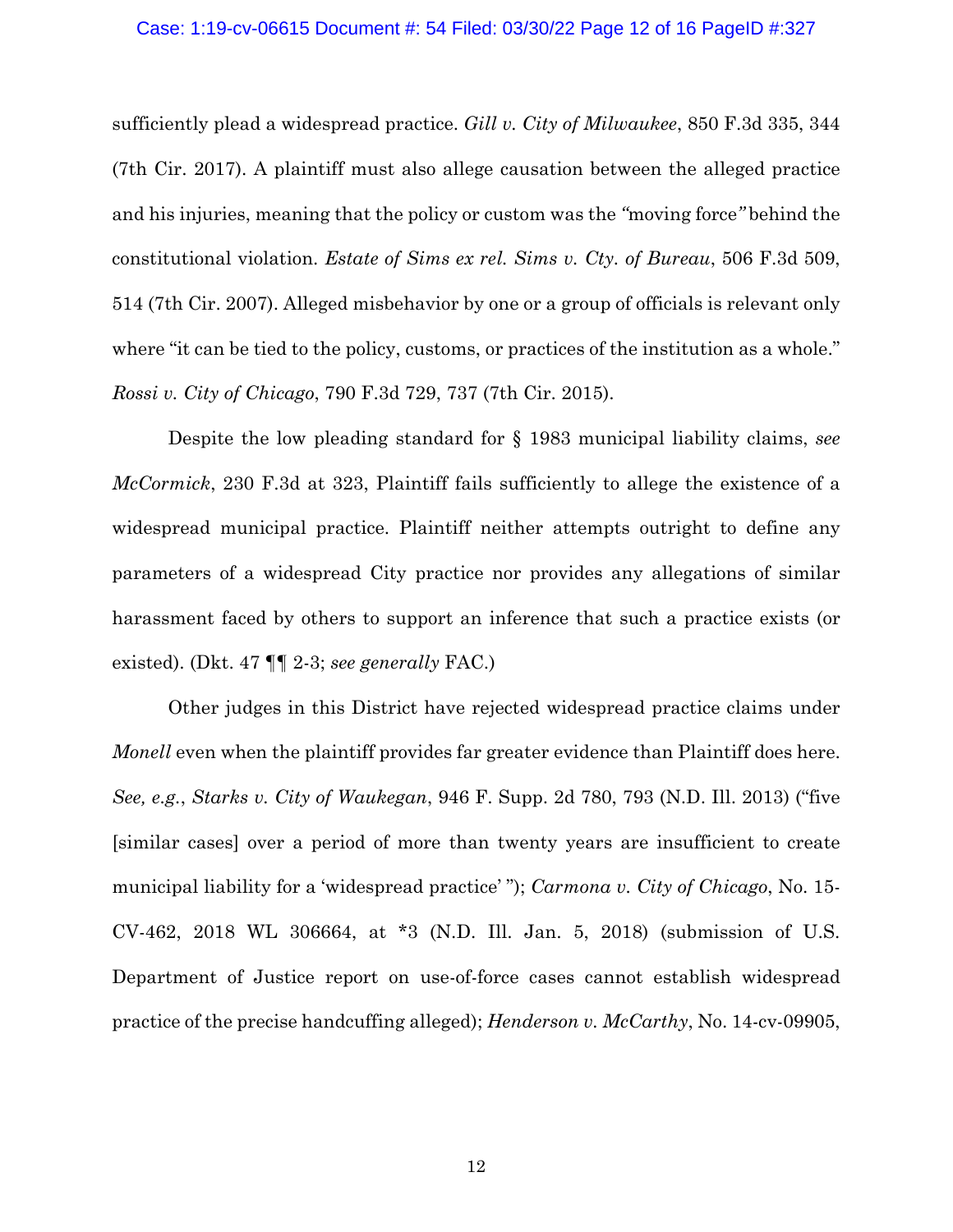### Case: 1:19-cv-06615 Document #: 54 Filed: 03/30/22 Page 12 of 16 PageID #:327

sufficiently plead a widespread practice. *Gill v. City of Milwaukee*, 850 F.3d 335, 344 (7th Cir. 2017). A plaintiff must also allege causation between the alleged practice and his injuries, meaning that the policy or custom was the *"*moving force*"* behind the constitutional violation. *Estate of Sims ex rel. Sims v. Cty. of Bureau*, 506 F.3d 509, 514 (7th Cir. 2007). Alleged misbehavior by one or a group of officials is relevant only where "it can be tied to the policy, customs, or practices of the institution as a whole." *Rossi v. City of Chicago*, 790 F.3d 729, 737 (7th Cir. 2015).

Despite the low pleading standard for § 1983 municipal liability claims, *see McCormick*, 230 F.3d at 323, Plaintiff fails sufficiently to allege the existence of a widespread municipal practice. Plaintiff neither attempts outright to define any parameters of a widespread City practice nor provides any allegations of similar harassment faced by others to support an inference that such a practice exists (or existed). (Dkt. 47 ¶¶ 2-3; *see generally* FAC.)

Other judges in this District have rejected widespread practice claims under *Monell* even when the plaintiff provides far greater evidence than Plaintiff does here. *See, e.g.*, *Starks v. City of Waukegan*, 946 F. Supp. 2d 780, 793 (N.D. Ill. 2013) ("five [similar cases] over a period of more than twenty years are insufficient to create municipal liability for a 'widespread practice' "); *Carmona v. City of Chicago*, No. 15- CV-462, 2018 WL 306664, at \*3 (N.D. Ill. Jan. 5, 2018) (submission of U.S. Department of Justice report on use-of-force cases cannot establish widespread practice of the precise handcuffing alleged); *Henderson v. McCarthy*, No. 14-cv-09905,

12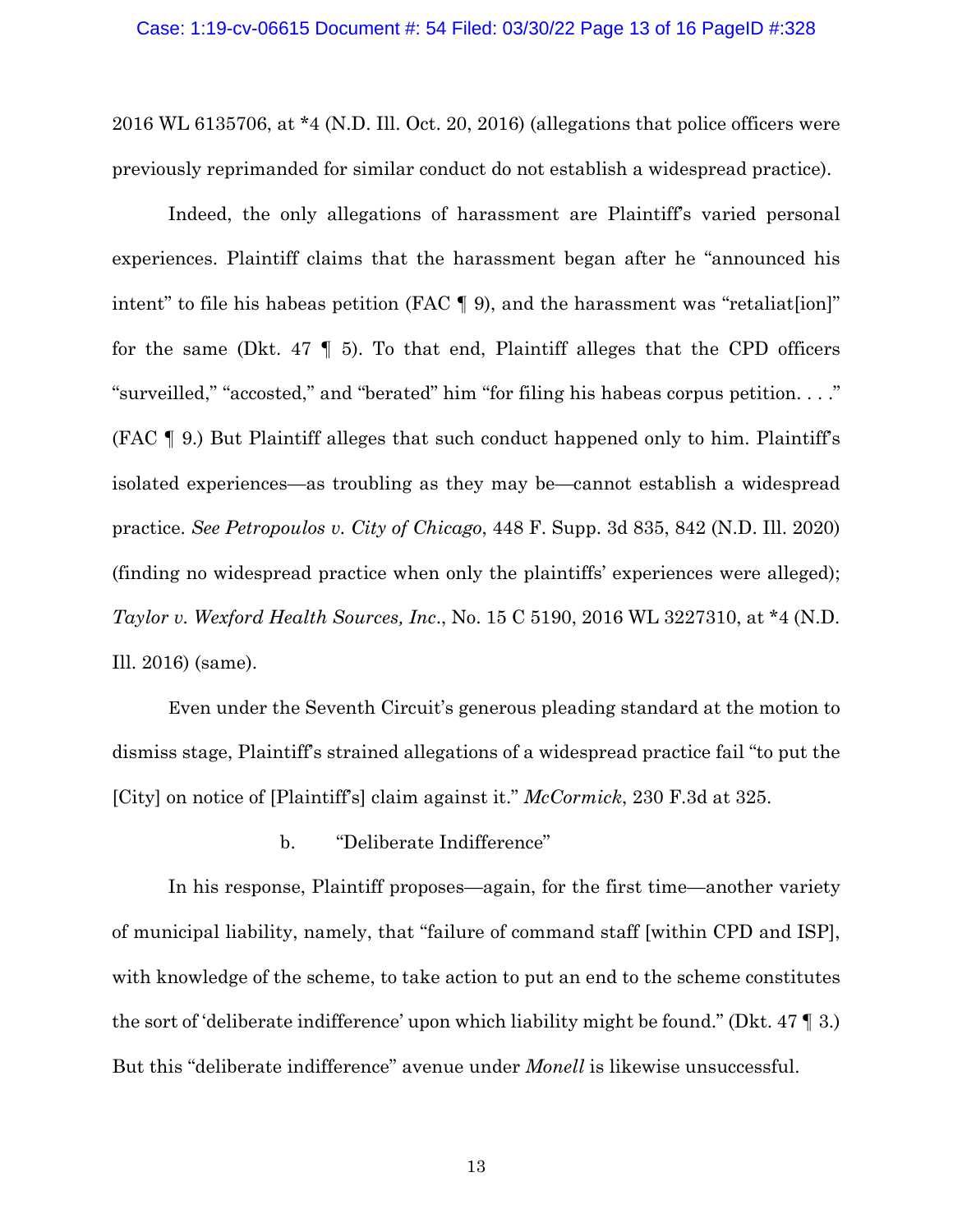2016 WL 6135706, at \*4 (N.D. Ill. Oct. 20, 2016) (allegations that police officers were previously reprimanded for similar conduct do not establish a widespread practice).

Indeed, the only allegations of harassment are Plaintiff's varied personal experiences. Plaintiff claims that the harassment began after he "announced his intent" to file his habeas petition (FAC ¶ 9), and the harassment was "retaliat[ion]" for the same (Dkt. 47  $\parallel$  5). To that end, Plaintiff alleges that the CPD officers "surveilled," "accosted," and "berated" him "for filing his habeas corpus petition. . . ." (FAC ¶ 9.) But Plaintiff alleges that such conduct happened only to him. Plaintiff's isolated experiences—as troubling as they may be—cannot establish a widespread practice. *See Petropoulos v. City of Chicago*, 448 F. Supp. 3d 835, 842 (N.D. Ill. 2020) (finding no widespread practice when only the plaintiffs' experiences were alleged); *Taylor v. Wexford Health Sources, Inc*., No. 15 C 5190, 2016 WL 3227310, at \*4 (N.D. Ill. 2016) (same).

Even under the Seventh Circuit's generous pleading standard at the motion to dismiss stage, Plaintiff's strained allegations of a widespread practice fail "to put the [City] on notice of [Plaintiff's] claim against it." *McCormick*, 230 F.3d at 325.

b. "Deliberate Indifference"

In his response, Plaintiff proposes—again, for the first time—another variety of municipal liability, namely, that "failure of command staff [within CPD and ISP], with knowledge of the scheme, to take action to put an end to the scheme constitutes the sort of 'deliberate indifference' upon which liability might be found." (Dkt. 47 ¶ 3.) But this "deliberate indifference" avenue under *Monell* is likewise unsuccessful.

13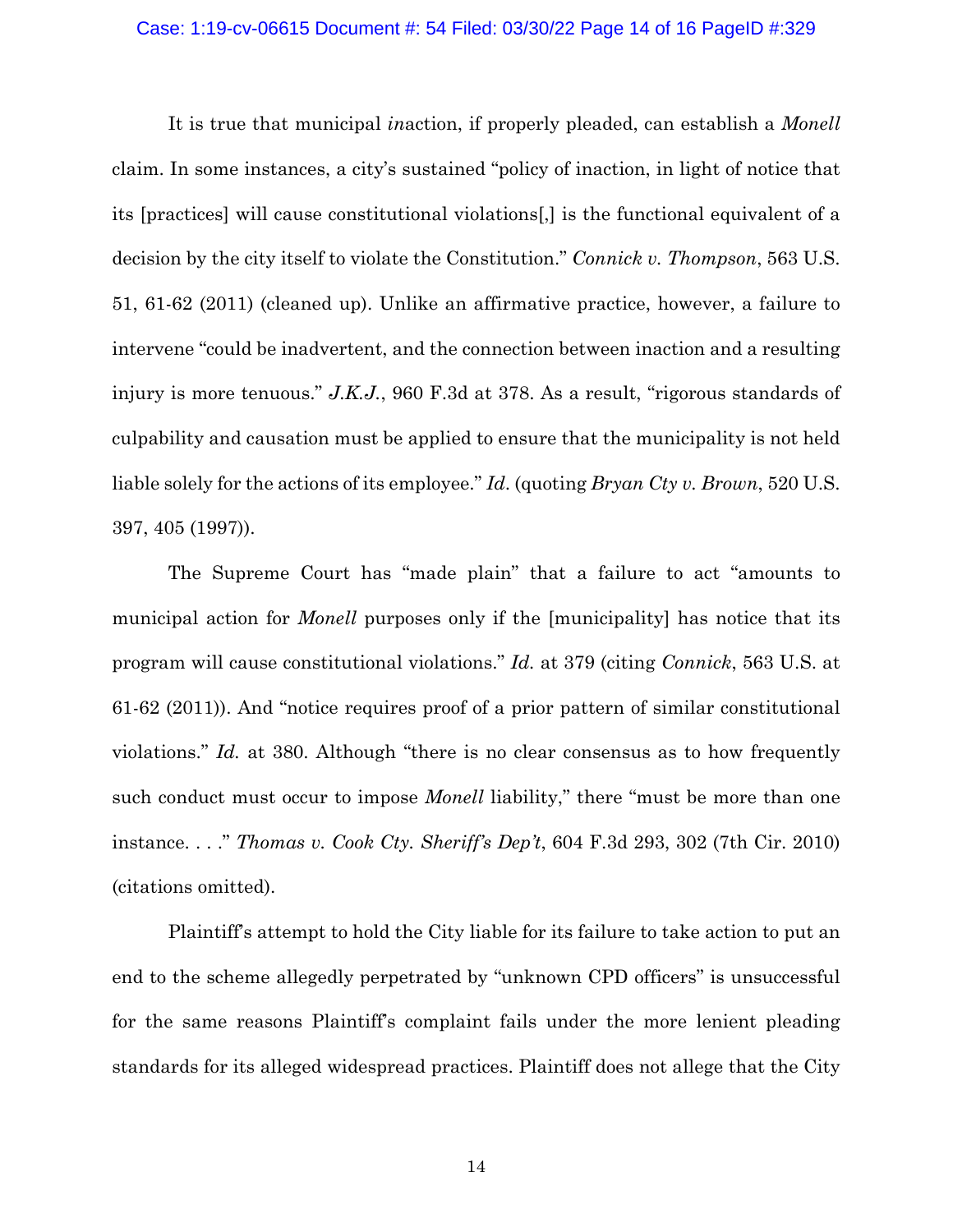### Case: 1:19-cv-06615 Document #: 54 Filed: 03/30/22 Page 14 of 16 PageID #:329

It is true that municipal *in*action, if properly pleaded, can establish a *Monell* claim. In some instances, a city's sustained "policy of inaction, in light of notice that its [practices] will cause constitutional violations[,] is the functional equivalent of a decision by the city itself to violate the Constitution." *Connick v. Thompson*, 563 U.S. 51, 61-62 (2011) (cleaned up). Unlike an affirmative practice, however, a failure to intervene "could be inadvertent, and the connection between inaction and a resulting injury is more tenuous." *J.K.J.*, 960 F.3d at 378. As a result, "rigorous standards of culpability and causation must be applied to ensure that the municipality is not held liable solely for the actions of its employee." *Id*. (quoting *Bryan Cty v. Brown*, 520 U.S. 397, 405 (1997)).

The Supreme Court has "made plain" that a failure to act "amounts to municipal action for *Monell* purposes only if the [municipality] has notice that its program will cause constitutional violations." *Id.* at 379 (citing *Connick*, 563 U.S. at 61-62 (2011)). And "notice requires proof of a prior pattern of similar constitutional violations." *Id.* at 380. Although "there is no clear consensus as to how frequently such conduct must occur to impose *Monell* liability," there "must be more than one instance. . . ." *Thomas v. Cook Cty. Sheriff's Dep't*, 604 F.3d 293, 302 (7th Cir. 2010) (citations omitted).

Plaintiff's attempt to hold the City liable for its failure to take action to put an end to the scheme allegedly perpetrated by "unknown CPD officers" is unsuccessful for the same reasons Plaintiff's complaint fails under the more lenient pleading standards for its alleged widespread practices. Plaintiff does not allege that the City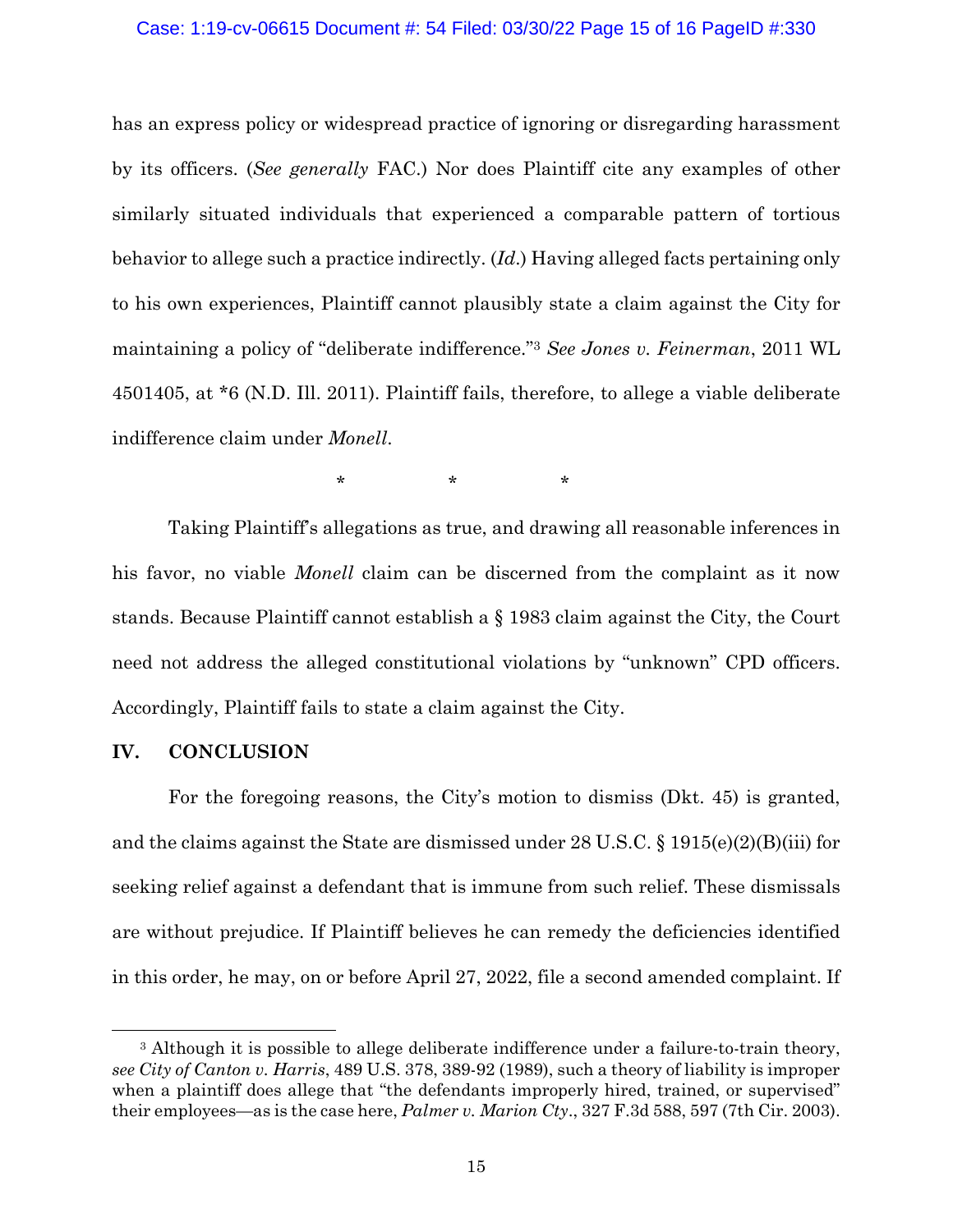### Case: 1:19-cv-06615 Document #: 54 Filed: 03/30/22 Page 15 of 16 PageID #:330

has an express policy or widespread practice of ignoring or disregarding harassment by its officers. (*See generally* FAC.) Nor does Plaintiff cite any examples of other similarly situated individuals that experienced a comparable pattern of tortious behavior to allege such a practice indirectly. (*Id*.) Having alleged facts pertaining only to his own experiences, Plaintiff cannot plausibly state a claim against the City for maintaining a policy of "deliberate indifference."3 *See Jones v. Feinerman*, 2011 WL 4501405, at \*6 (N.D. Ill. 2011). Plaintiff fails, therefore, to allege a viable deliberate indifference claim under *Monell*.

 $\star$   $\star$   $\star$   $\star$ 

Taking Plaintiff's allegations as true, and drawing all reasonable inferences in his favor, no viable *Monell* claim can be discerned from the complaint as it now stands. Because Plaintiff cannot establish a § 1983 claim against the City, the Court need not address the alleged constitutional violations by "unknown" CPD officers. Accordingly, Plaintiff fails to state a claim against the City.

## **IV. CONCLUSION**

For the foregoing reasons, the City's motion to dismiss (Dkt. 45) is granted, and the claims against the State are dismissed under 28 U.S.C. § 1915(e)(2)(B)(iii) for seeking relief against a defendant that is immune from such relief. These dismissals are without prejudice. If Plaintiff believes he can remedy the deficiencies identified in this order, he may, on or before April 27, 2022, file a second amended complaint. If

<sup>&</sup>lt;sup>3</sup> Although it is possible to allege deliberate indifference under a failure-to-train theory, *see City of Canton v. Harris*, 489 U.S. 378, 389-92 (1989), such a theory of liability is improper when a plaintiff does allege that "the defendants improperly hired, trained, or supervised" their employees—as is the case here, *Palmer v. Marion Cty*., 327 F.3d 588, 597 (7th Cir. 2003).